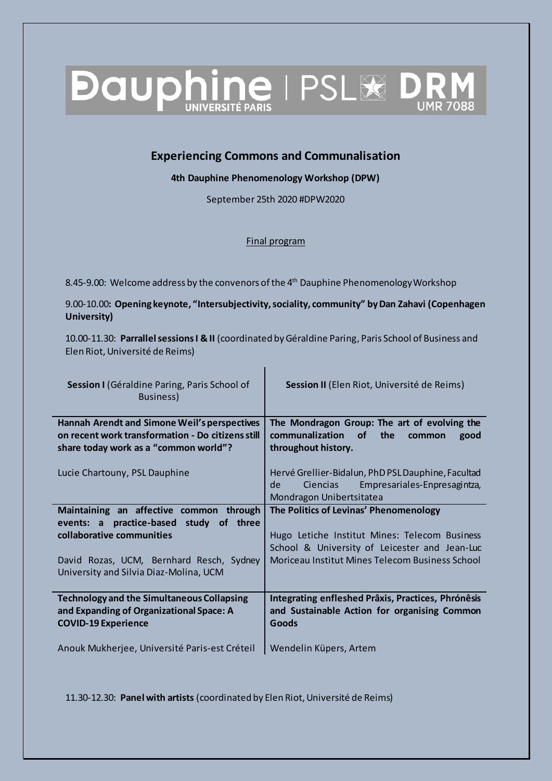## **Dauphine IPSL& DR**

## **Experiencing Commons and Communalisation**

**4th Dauphine Phenomenology Workshop (DPW)** 

September 25th 2020 #DPW2020

Final program

8.45-9.00: Welcome address by the convenors of the  $4<sup>th</sup>$  Dauphine Phenomenology Workshop

9.00-10.00**: Opening keynote, "Intersubjectivity, sociality, community" by Dan Zahavi (Copenhagen University)** 

10.00-11.30: **Parrallel sessions I & II** (coordinated by Géraldine Paring, Paris School of Business and Elen Riot, Université de Reims)

| Session I (Géraldine Paring, Paris School of<br>Business)                                                                                         | Session II (Elen Riot, Université de Reims)                                                                                      |
|---------------------------------------------------------------------------------------------------------------------------------------------------|----------------------------------------------------------------------------------------------------------------------------------|
| <b>Hannah Arendt and Simone Weil's perspectives</b><br>on recent work transformation - Do citizens still<br>share today work as a "common world"? | The Mondragon Group: The art of evolving the<br>communalization<br><b>of</b><br>the<br>good<br>common<br>throughout history.     |
| Lucie Chartouny, PSL Dauphine                                                                                                                     | Hervé Grellier-Bidalun, PhD PSL Dauphine, Facultad<br>Empresariales-Enpresagintza,<br>Ciencias<br>de<br>Mondragon Unibertsitatea |
| Maintaining an affective common through                                                                                                           | The Politics of Levinas' Phenomenology                                                                                           |
| practice-based study<br>of three<br>events: a                                                                                                     |                                                                                                                                  |
| collaborative communities                                                                                                                         | Hugo Letiche Institut Mines: Telecom Business                                                                                    |
|                                                                                                                                                   | School & University of Leicester and Jean-Luc                                                                                    |
| David Rozas, UCM, Bernhard Resch, Sydney<br>University and Silvia Diaz-Molina, UCM                                                                | Moriceau Institut Mines Telecom Business School                                                                                  |
| <b>Technology and the Simultaneous Collapsing</b><br>and Expanding of Organizational Space: A<br><b>COVID-19 Experience</b>                       | Integrating enfleshed Prâxis, Practices, Phrónêsis<br>and Sustainable Action for organising Common<br>Goods                      |
| Anouk Mukherjee, Université Paris-est Créteil                                                                                                     | Wendelin Küpers, Artem                                                                                                           |

11.30-12.30: **Panel with artists** (coordinated by Elen Riot, Université de Reims)